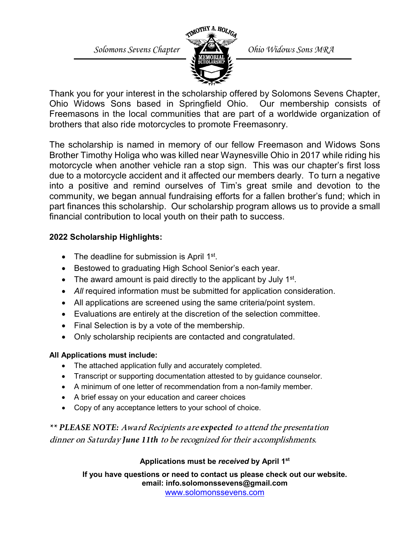*Solomons Sevens Chapter CHANGER Ohio Widows Sons MRA* 



Thank you for your interest in the scholarship offered by Solomons Sevens Chapter, Ohio Widows Sons based in Springfield Ohio. Our membership consists of Freemasons in the local communities that are part of a worldwide organization of brothers that also ride motorcycles to promote Freemasonry.

The scholarship is named in memory of our fellow Freemason and Widows Sons Brother Timothy Holiga who was killed near Waynesville Ohio in 2017 while riding his motorcycle when another vehicle ran a stop sign. This was our chapter's first loss due to a motorcycle accident and it affected our members dearly. To turn a negative into a positive and remind ourselves of Tim's great smile and devotion to the community, we began annual fundraising efforts for a fallen brother's fund; which in part finances this scholarship. Our scholarship program allows us to provide a small financial contribution to local youth on their path to success.

## **2022 Scholarship Highlights:**

- The deadline for submission is April  $1<sup>st</sup>$ .
- Bestowed to graduating High School Senior's each year.
- The award amount is paid directly to the applicant by July  $1<sup>st</sup>$ .
- *All* required information must be submitted for application consideration.
- All applications are screened using the same criteria/point system.
- Evaluations are entirely at the discretion of the selection committee.
- Final Selection is by a vote of the membership.
- Only scholarship recipients are contacted and congratulated.

## **All Applications must include:**

- The attached application fully and accurately completed.
- Transcript or supporting documentation attested to by guidance counselor.
- A minimum of one letter of recommendation from a non-family member.
- A brief essay on your education and career choices
- Copy of any acceptance letters to your school of choice.

*\*\* PLEASE NOTE:* Award Recipients are *expected* to attend the presentation dinner on Saturday *June 11th* to be recognized for their accomplishments.

# **Applications must be** *received* **by April 1st**

**If you have questions or need to contact us please check out our website. email: info.solomonssevens@gmail.com** [www.solomonssevens.com](http://www.solomonssevens.com/)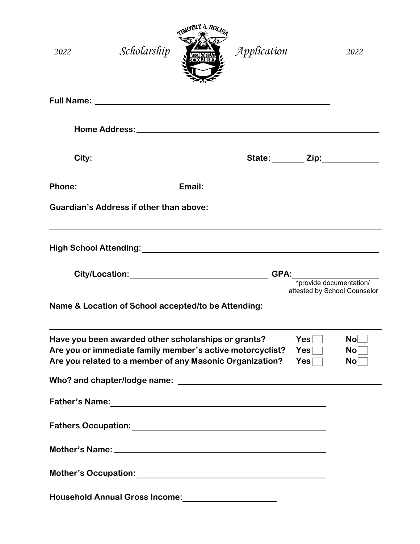| 2022                                                                                                                                                                                                     | Scholarship<br>eolarsur                                                                                                                                                                                                              | Application                                        |                         | 2022                               |
|----------------------------------------------------------------------------------------------------------------------------------------------------------------------------------------------------------|--------------------------------------------------------------------------------------------------------------------------------------------------------------------------------------------------------------------------------------|----------------------------------------------------|-------------------------|------------------------------------|
|                                                                                                                                                                                                          |                                                                                                                                                                                                                                      |                                                    |                         |                                    |
|                                                                                                                                                                                                          |                                                                                                                                                                                                                                      |                                                    |                         |                                    |
|                                                                                                                                                                                                          |                                                                                                                                                                                                                                      |                                                    |                         |                                    |
|                                                                                                                                                                                                          | Phone: _______________________________Email: ___________________________________                                                                                                                                                     |                                                    |                         |                                    |
|                                                                                                                                                                                                          | <b>Guardian's Address if other than above:</b>                                                                                                                                                                                       |                                                    |                         |                                    |
|                                                                                                                                                                                                          |                                                                                                                                                                                                                                      |                                                    |                         |                                    |
|                                                                                                                                                                                                          | City/Location: <u>www.community-community-community-community-community-community-community-community-community-community-community-community-community-community-community-community-community-community-community-community-co</u> | <b>GPA:</b>                                        | *provide documentation/ | attested by School Counselor       |
|                                                                                                                                                                                                          | Name & Location of School accepted/to be Attending:                                                                                                                                                                                  |                                                    |                         |                                    |
| Have you been awarded other scholarships or grants?<br><b>Yes</b><br>Are you or immediate family member's active motorcyclist?<br>Yes<br>Are you related to a member of any Masonic Organization?<br>Yes |                                                                                                                                                                                                                                      |                                                    |                         | <b>No</b><br>No <sub>1</sub><br>No |
|                                                                                                                                                                                                          |                                                                                                                                                                                                                                      |                                                    |                         |                                    |
|                                                                                                                                                                                                          |                                                                                                                                                                                                                                      |                                                    |                         |                                    |
|                                                                                                                                                                                                          |                                                                                                                                                                                                                                      |                                                    |                         |                                    |
|                                                                                                                                                                                                          |                                                                                                                                                                                                                                      |                                                    |                         |                                    |
|                                                                                                                                                                                                          |                                                                                                                                                                                                                                      |                                                    |                         |                                    |
|                                                                                                                                                                                                          | <b>Household Annual Gross Income:</b>                                                                                                                                                                                                | <u> 1989 - Johann Barn, amerikansk politiker (</u> |                         |                                    |